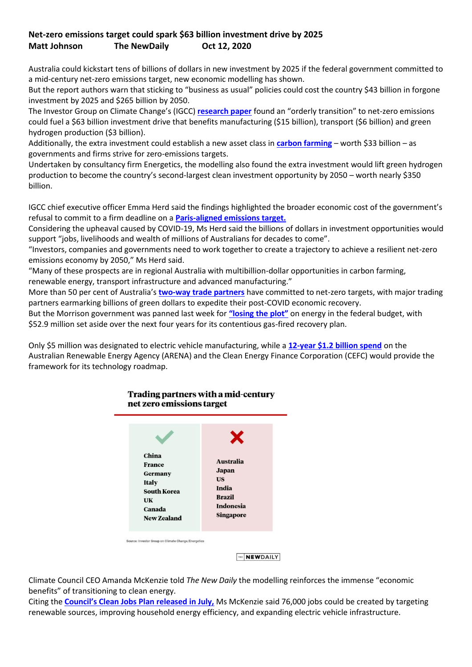## **Net-zero emissions target could spark \$63 billion investment drive by 2025 Matt Johnson The NewDaily Oct 12, 2020**

Australia could kickstart tens of billions of dollars in new investment by 2025 if the federal government committed to a mid-century net-zero emissions target, new economic modelling has shown.

But the report authors warn that sticking to "business as usual" policies could cost the country \$43 billion in forgone investment by 2025 and \$265 billion by 2050.

The Investor Group on Climate Change's (IGCC) **[research paper](https://igcc.org.au/wp-content/uploads/2020/10/121020_IGCC-Report_Net-Zero-Investment-Opportunity.pdf)** found an "orderly transition" to net-zero emissions could fuel a \$63 billion investment drive that benefits manufacturing (\$15 billion), transport (\$6 billion) and green hydrogen production (\$3 billion).

Additionally, the extra investment could establish a new asset class in **[carbon farming](https://www.abc.net.au/news/2020-09-25/australian-environment-policy-soil-carbon-funding-analysis/12692290)** – worth \$33 billion – as governments and firms strive for zero-emissions targets.

Undertaken by consultancy firm Energetics, the modelling also found the extra investment would lift green hydrogen production to become the country's second-largest clean investment opportunity by 2050 – worth nearly \$350 billion.

IGCC chief executive officer Emma Herd said the findings highlighted the broader economic cost of the government's refusal to commit to a firm deadline on a **[Paris-aligned emissions target.](https://thenewdaily.com.au/news/2020/09/22/paul-bongiorno-australia-challenges-budget/)**

Considering the upheaval caused by COVID-19, Ms Herd said the billions of dollars in investment opportunities would support "jobs, livelihoods and wealth of millions of Australians for decades to come".

"Investors, companies and governments need to work together to create a trajectory to achieve a resilient net-zero emissions economy by 2050," Ms Herd said.

"Many of these prospects are in regional Australia with multibillion-dollar opportunities in carbon farming, renewable energy, transport infrastructure and advanced manufacturing."

More than 50 per cent of Australia's **[two-way trade partners](https://www.afr.com/politics/federal/france-calls-for-aussie-net-zero-emissions-target-in-eu-trade-talks-20200831-p55qu1)** have committed to net-zero targets, with major trading partners earmarking billions of green dollars to expedite their post-COVID economic recovery.

But the Morrison government was panned last week for **"losing [the plot"](https://thenewdaily.com.au/finance/news-federal-budget/2020/10/11/federal-budget-energy-renewables/)** on energy in the federal budget, with \$52.9 million set aside over the next four years for its contentious gas-fired recovery plan.

Only \$5 million was designated to electric vehicle manufacturing, while a **[12-year \\$1.2 billion spend](https://reneweconomy.com.au/budget-papers-create-confusion-over-arena-funding-timelines-93932/)** on the Australian Renewable Energy Agency (ARENA) and the Clean Energy Finance Corporation (CEFC) would provide the framework for its technology roadmap.



**Trading partners with a mid-century** 

THE **NEWDAILY** 

Climate Council CEO Amanda McKenzie told *The New Daily* the modelling reinforces the immense "economic benefits" of transitioning to clean energy.

Citing the **[Council's Clean Jobs Plan released in July,](https://thenewdaily.com.au/news/2020/07/21/climate-council-job-creation-policies/)** Ms McKenzie said 76,000 jobs could be created by targeting renewable sources, improving household energy efficiency, and expanding electric vehicle infrastructure.